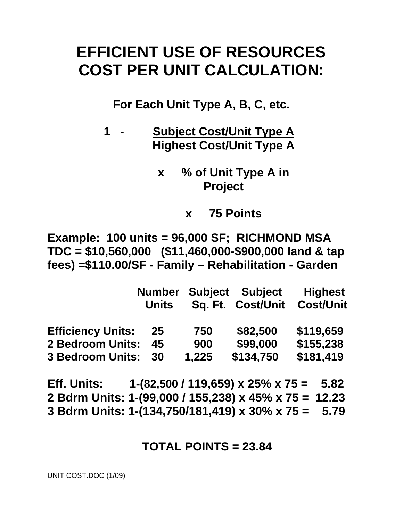# **EFFICIENT USE OF RESOURCES COST PER UNIT CALCULATION:**

**For Each Unit Type A, B, C, etc.** 

- **1 Subject Cost/Unit Type A Highest Cost/Unit Type A** 
	- **x % of Unit Type A in Project** 
		- **x 75 Points**

**Example: 100 units = 96,000 SF; RICHMOND MSA TDC = \$10,560,000 (\$11,460,000-\$900,000 land & tap fees) =\$110.00/SF - Family – Rehabilitation - Garden** 

|                          | <b>Number</b> |       | <b>Subject Subject</b> | <b>Highest</b>   |
|--------------------------|---------------|-------|------------------------|------------------|
|                          | <b>Units</b>  |       | Sq. Ft. Cost/Unit      | <b>Cost/Unit</b> |
| <b>Efficiency Units:</b> | 25            | 750   | \$82,500               | \$119,659        |
| <b>2 Bedroom Units:</b>  | 45            | 900   | \$99,000               | \$155,238        |
| <b>3 Bedroom Units:</b>  | 30            | 1,225 | \$134,750              | \$181,419        |

**Eff. Units: 1-(82,500 / 119,659) x 25% x 75 = 5.82 2 Bdrm Units: 1-(99,000 / 155,238) x 45% x 75 = 12.23 3 Bdrm Units: 1-(134,750/181,419) x 30% x 75 = 5.79** 

### **TOTAL POINTS = 23.84**

UNIT COST.DOC (1/09)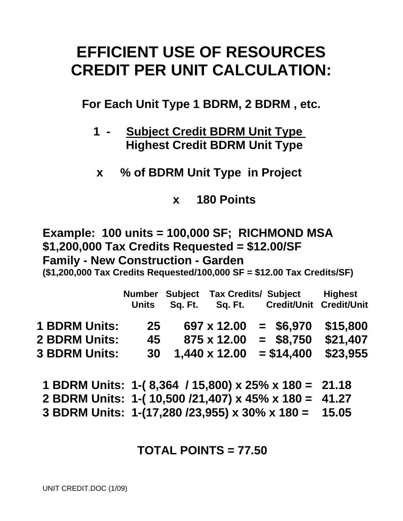# **EFFICIENT USE OF RESOURCES CREDIT PER UNIT CALCULATION:**

**For Each Unit Type 1 BDRM, 2 BDRM , etc.** 

- **1 Subject Credit BDRM Unit Type Highest Credit BDRM Unit Type**
- **x % of BDRM Unit Type in Project**

**x 180 Points** 

**Example: 100 units = 100,000 SF; RICHMOND MSA \$1,200,000 Tax Credits Requested = \$12.00/SF Family - New Construction - Garden** 

**(\$1,200,000 Tax Credits Requested/100,000 SF = \$12.00 Tax Credits/SF)** 

|                      | <b>Units</b> | Sq. Ft. | Sq. Ft.       | Number Subject Tax Credits/ Subject<br>Credit/Unit Credit/Unit | <b>Highest</b> |
|----------------------|--------------|---------|---------------|----------------------------------------------------------------|----------------|
| <b>1 BDRM Units:</b> | 25           |         | 697 x 12.00   | $=$ \$6,970                                                    | \$15,800       |
| <b>2 BDRM Units:</b> | 45           |         | 875 x 12.00   | $=$ \$8,750                                                    | \$21,407       |
| <b>3 BDRM Units:</b> | 30           |         | 1,440 x 12.00 | $= $14,400$                                                    | \$23.955       |

**1 BDRM Units: 1-( 8,364 / 15,800) x 25% x 180 = 21.18 2 BDRM Units: 1-( 10,500 /21,407) x 45% x 180 = 41.27 3 BDRM Units: 1-(17,280 /23,955) x 30% x 180 = 15.05** 

## **TOTAL POINTS = 77.50**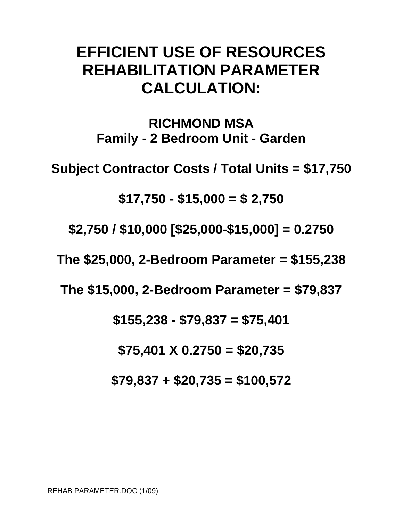# **EFFICIENT USE OF RESOURCES REHABILITATION PARAMETER CALCULATION:**

**RICHMOND MSA Family - 2 Bedroom Unit - Garden** 

**Subject Contractor Costs / Total Units = \$17,750** 

**\$17,750 - \$15,000 = \$ 2,750** 

**\$2,750 / \$10,000 [\$25,000-\$15,000] = 0.2750** 

**The \$25,000, 2-Bedroom Parameter = \$155,238** 

**The \$15,000, 2-Bedroom Parameter = \$79,837** 

**\$155,238 - \$79,837 = \$75,401** 

**\$75,401 X 0.2750 = \$20,735** 

**\$79,837 + \$20,735 = \$100,572**